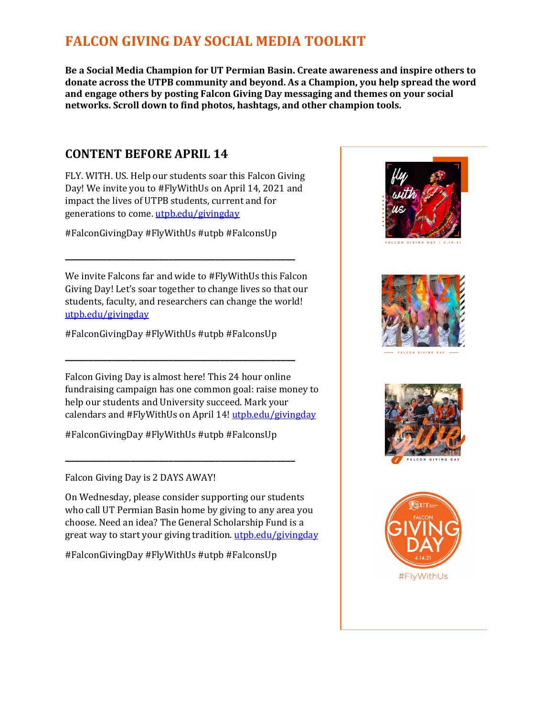# **FALCON GIVING DAY SOCIAL MEDIA TOOLKIT**

**Be a Social Media Champion for UT Permian Basin. Create awareness and inspire others to donate across the UTPB community and beyond. As a Champion, you help spread the word and engage others by posting Falcon Giving Day messaging and themes on your social networks. Scroll down to find photos, hashtags, and other champion tools.**

### **CONTENT BEFORE APRIL 14**

FLY. WITH. US. Help our students soar this Falcon Giving Day! We invite you to #FlyWithUs on April 14, 2021 and impact the lives of UTPB students, current and for generations to come. [utpb.edu/givingday](https://www.utpb.edu/give/givingday)

#FalconGivingDay #FlyWithUs #utpb #FalconsUp

**\_\_\_\_\_\_\_\_\_\_\_\_\_\_\_\_\_\_\_\_\_\_\_\_\_\_\_\_\_\_\_\_\_\_\_\_\_\_\_\_\_\_\_\_\_\_\_\_\_**

We invite Falcons far and wide to #FlyWithUs this Falcon Giving Day! Let's soar together to change lives so that our students, faculty, and researchers can change the world! [utpb.edu/givingday](https://www.utpb.edu/give/givingday)

#FalconGivingDay #FlyWithUs #utpb #FalconsUp

**\_\_\_\_\_\_\_\_\_\_\_\_\_\_\_\_\_\_\_\_\_\_\_\_\_\_\_\_\_\_\_\_\_\_\_\_\_\_\_\_\_\_\_\_\_\_\_\_\_**

Falcon Giving Day is almost here! This 24 hour online fundraising campaign has one common goal: raise money to help our students and University succeed. Mark your calendars and #FlyWithUs on April 14! [utpb.edu/givingday](https://www.utpb.edu/give/givingday)

#FalconGivingDay #FlyWithUs #utpb #FalconsUp

**\_\_\_\_\_\_\_\_\_\_\_\_\_\_\_\_\_\_\_\_\_\_\_\_\_\_\_\_\_\_\_\_\_\_\_\_\_\_\_\_\_\_\_\_\_\_\_\_\_**

#### Falcon Giving Day is 2 DAYS AWAY!

On Wednesday, please consider supporting our students who call UT Permian Basin home by giving to any area you choose. Need an idea? The General Scholarship Fund is a great way to start your giving tradition. [utpb.edu/givingday](https://www.utpb.edu/give/givingday)

#FalconGivingDay #FlyWithUs #utpb #FalconsUp